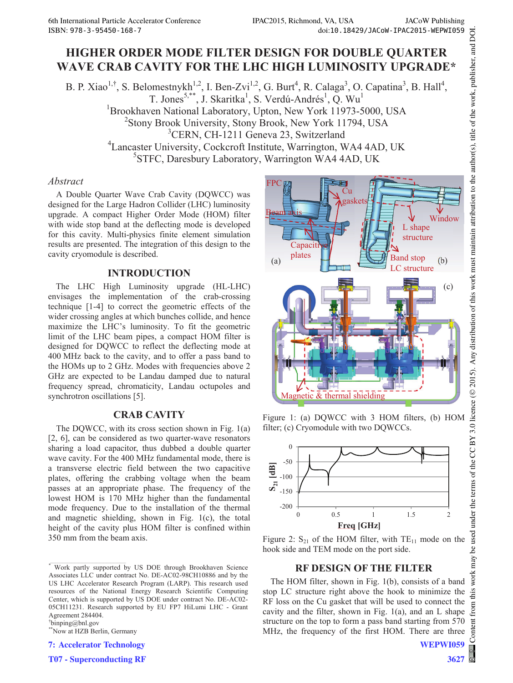# **HIGHER ORDER MODE FILTER DESIGN FOR DOUBLE QUARTER WAVE CRAB CAVITY FOR THE LHC HIGH LUMINOSITY UPGRADE\***

B. P. Xiao<sup>1,†</sup>, S. Belomestnykh<sup>1,2</sup>, I. Ben-Zvi<sup>1,2</sup>, G. Burt<sup>4</sup>, R. Calaga<sup>3</sup>, O. Capatina<sup>3</sup>, B. Hall<sup>4</sup>, T. Jones<sup>5,\*\*</sup>, J. Skaritka<sup>1</sup>, S. Verdú-Andrés<sup>1</sup>, Q. Wu<sup>1</sup> <sup>1</sup>Brookhaven National Laboratory, Upton, New York 11973-5000, USA 2 Stony Brook University, Stony Brook, New York 11794, USA 3 CERN, CH-1211 Geneva 23, Switzerland 4 Lancaster University, Cockcroft Institute, Warrington, WA4 4AD, UK 5 STFC, Daresbury Laboratory, Warrington WA4 4AD, UK

### *Abstract*

A Double Quarter Wave Crab Cavity (DQWCC) was designed for the Large Hadron Collider (LHC) luminosity upgrade. A compact Higher Order Mode (HOM) filter with wide stop band at the deflecting mode is developed for this cavity. Multi-physics finite element simulation results are presented. The integration of this design to the cavity cryomodule is described.

# **INTRODUCTION**

The LHC High Luminosity upgrade (HL-LHC) envisages the implementation of the crab-crossing technique [1-4] to correct the geometric effects of the wider crossing angles at which bunches collide, and hence maximize the LHC's luminosity. To fit the geometric limit of the LHC beam pipes, a compact HOM filter is designed for DQWCC to reflect the deflecting mode at 400 MHz back to the cavity, and to offer a pass band to the HOMs up to 2 GHz. Modes with frequencies above 2 GHz are expected to be Landau damped due to natural frequency spread, chromaticity, Landau octupoles and synchrotron oscillations [5].

# **CRAB CAVITY**

The DQWCC, with its cross section shown in Fig. 1(a) [2, 6], can be considered as two quarter-wave resonators sharing a load capacitor, thus dubbed a double quarter wave cavity. For the 400 MHz fundamental mode, there is a transverse electric field between the two capacitive plates, offering the crabbing voltage when the beam passes at an appropriate phase. The frequency of the lowest HOM is 170 MHz higher than the fundamental mode frequency. Due to the installation of the thermal and magnetic shielding, shown in Fig. 1(c), the total height of the cavity plus HOM filter is confined within 350 mm from the beam axis.

† binping@bnl.gov

\*\*Now at HZB Berlin, Germany

**7: Accelerator Technology**

**T07 - Superconducting RF**



Figure 1: (a) DQWCC with 3 HOM filters, (b) HOM filter; (c) Cryomodule with two DQWCCs.



Figure 2:  $S_{21}$  of the HOM filter, with  $TE_{11}$  mode on the hook side and TEM mode on the port side.

# **RF DESIGN OF THE FILTER**

The HOM filter, shown in Fig. 1(b), consists of a band stop LC structure right above the hook to minimize the RF loss on the Cu gasket that will be used to connect the cavity and the filter, shown in Fig.  $1(a)$ , and an L shape structure on the top to form a pass band starting from 570 MHz, the frequency of the first HOM. There are three

<sup>\*</sup> Work partly supported by US DOE through Brookhaven Science Associates LLC under contract No. DE-AC02-98CH10886 and by the US LHC Accelerator Research Program (LARP). This research used resources of the National Energy Research Scientific Computing Center, which is supported by US DOE under contract No. DE-AC02- 05CH11231. Research supported by EU FP7 HiLumi LHC - Grant Agreement 284404.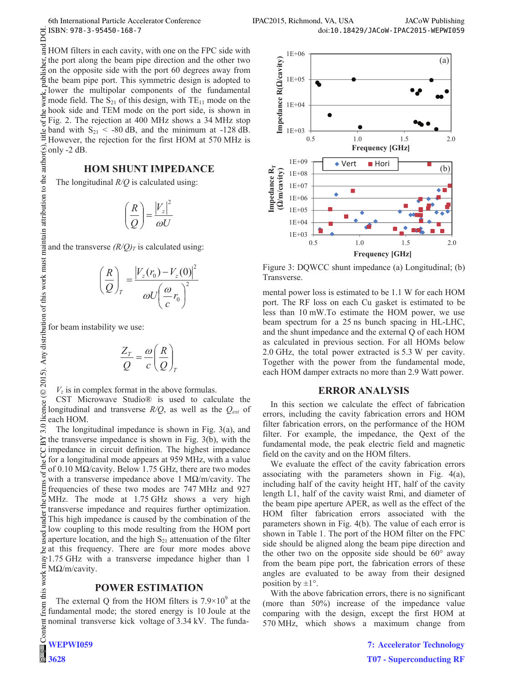DOI.

 $\circ$  2015). Any distribution of this work must maintain attribution to the author(s), title of the work, publisher, and DOI. and HOM filters in each cavity, with one on the FPC side with publisher, the port along the beam pipe direction and the other two on the opposite side with the port 60 degrees away from the beam pipe port. This symmetric design is adopted to lower the multipolar components of the fundamental work. mode field. The  $S_{21}$  of this design, with  $TE_{11}$  mode on the hook side and TEM mode on the port side, is shown in  $\sigma$ f t Fig. 2. The rejection at 400 MHz shows a 34 MHz stop  $\frac{3}{2}$  band with S<sub>21</sub> < -80 dB, and the minimum at -128 dB.<br>
However the rejection for the first UOM. However, the rejection for the first HOM at 570 MHz is only -2 dB.

# **HOM SHUNT IMPEDANCE**

The longitudinal *R/Q* is calculated using:

$$
\left(\frac{R}{Q}\right) = \frac{|V_z|^2}{\omega U}
$$

and the transverse  $(R/Q)_T$  is calculated using:

$$
\left(\frac{R}{Q}\right)_T = \frac{\left|V_z(r_0) - V_z(0)\right|^2}{\omega U \left(\frac{\omega}{c}r_0\right)^2}
$$

for beam instability we use:

$$
\frac{Z_T}{Q} = \frac{\omega}{c} \left(\frac{R}{Q}\right)_T
$$

 $V<sub>z</sub>$  is in complex format in the above formulas.

CST Microwave Studio® is used to calculate the longitudinal and transverse  $R/Q$ , as well as the  $Q_{ext}$  of each HOM. licence ( $\odot$  2015). Any distribution of this work must maintain attribution to the author(s)

Content from this work may be used under the terms of the CC BY 3.0 licence ( $\epsilon$  $3.0$ The longitudinal impedance is shown in Fig. 3(a), and  $\mathbf{N}$ the transverse impedance is shown in Fig. 3(b), with the  $\overline{S}$ impedance in circuit definition. The highest impedance for a longitudinal mode appears at 959 MHz, with a value the of 0.10 M $\Omega$ /cavity. Below 1.75 GHz, there are two modes  $13$  of t with a transverse impedance above 1 M $\Omega/m$ /cavity. The  $\frac{2}{5}$  frequencies of these two modes are 747 MHz and 927 MHz. The mode at 1.75 GHz shows a very high transverse impedance and requires further optimization. under This high impedance is caused by the combination of the low coupling to this mode resulting from the HOM port  $\frac{8}{2}$  aperture location, and the high S<sub>21</sub> attenuation of the filter at this frequency. There are four more modes above  $\approx$  1.75 GHz with a transverse impedance higher than 1  $M\Omega/m$ /cavity. this work

#### **POWER ESTIMATION**

The external Q from the HOM filters is  $7.9 \times 10^9$  at the from ( fundamental mode; the stored energy is 10 Joule at the nominal transverse kick voltage of 3.34 kV. The funda-

**3628**



Figure 3: DQWCC shunt impedance (a) Longitudinal; (b) Transverse.

mental power loss is estimated to be 1.1 W for each HOM port. The RF loss on each Cu gasket is estimated to be less than 10 mW.To estimate the HOM power, we use beam spectrum for a 25 ns bunch spacing in HL-LHC, and the shunt impedance and the external Q of each HOM as calculated in previous section. For all HOMs below 2.0 GHz, the total power extracted is 5.3 W per cavity. Together with the power from the fundamental mode, each HOM damper extracts no more than 2.9 Watt power.

#### **ERROR ANALYSIS**

In this section we calculate the effect of fabrication errors, including the cavity fabrication errors and HOM filter fabrication errors, on the performance of the HOM filter. For example, the impedance, the Qext of the fundamental mode, the peak electric field and magnetic field on the cavity and on the HOM filters.

We evaluate the effect of the cavity fabrication errors associating with the parameters shown in Fig. 4(a), including half of the cavity height HT, half of the cavity length L1, half of the cavity waist Rmi, and diameter of the beam pipe aperture APER, as well as the effect of the HOM filter fabrication errors associated with the parameters shown in Fig. 4(b). The value of each error is shown in Table 1. The port of the HOM filter on the FPC side should be aligned along the beam pipe direction and the other two on the opposite side should be  $60^{\circ}$  away from the beam pipe port, the fabrication errors of these angles are evaluated to be away from their designed position by  $\pm 1^{\circ}$ .

With the above fabrication errors, there is no significant (more than 50%) increase of the impedance value comparing with the design, except the first HOM at 570 MHz, which shows a maximum change from

> **7: Accelerator Technology T07 - Superconducting RF**